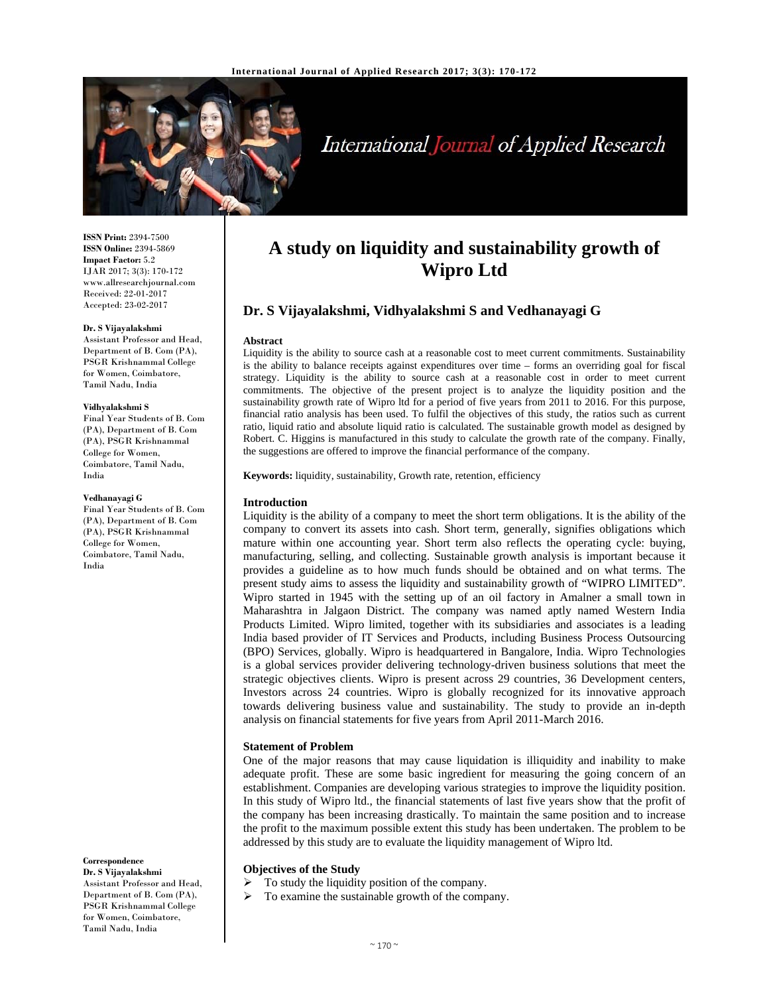

# International Journal of Applied Research

**ISSN Print:** 2394-7500 **ISSN Online:** 2394-5869 **Impact Factor:** 5.2 IJAR 2017; 3(3): 170-172 www.allresearchjournal.com Received: 22-01-2017 Accepted: 23-02-2017

#### **Dr. S Vijayalakshmi**

Assistant Professor and Head, Department of B. Com (PA), PSGR Krishnammal College for Women, Coimbatore, Tamil Nadu, India

#### **Vidhyalakshmi S**

Final Year Students of B. Com (PA), Department of B. Com (PA), PSGR Krishnammal College for Women, Coimbatore, Tamil Nadu, India

#### **Vedhanayagi G**

Final Year Students of B. Com (PA), Department of B. Com (PA), PSGR Krishnammal College for Women, Coimbatore, Tamil Nadu, India

**Correspondence Dr. S Vijayalakshmi** 

Assistant Professor and Head, Department of B. Com (PA), PSGR Krishnammal College for Women, Coimbatore, Tamil Nadu, India

# **A study on liquidity and sustainability growth of Wipro Ltd**

# **Dr. S Vijayalakshmi, Vidhyalakshmi S and Vedhanayagi G**

#### **Abstract**

Liquidity is the ability to source cash at a reasonable cost to meet current commitments. Sustainability is the ability to balance receipts against expenditures over time – forms an overriding goal for fiscal strategy. Liquidity is the ability to source cash at a reasonable cost in order to meet current commitments. The objective of the present project is to analyze the liquidity position and the sustainability growth rate of Wipro ltd for a period of five years from 2011 to 2016. For this purpose, financial ratio analysis has been used. To fulfil the objectives of this study, the ratios such as current ratio, liquid ratio and absolute liquid ratio is calculated. The sustainable growth model as designed by Robert. C. Higgins is manufactured in this study to calculate the growth rate of the company. Finally, the suggestions are offered to improve the financial performance of the company.

**Keywords:** liquidity, sustainability, Growth rate, retention, efficiency

## **Introduction**

Liquidity is the ability of a company to meet the short term obligations. It is the ability of the company to convert its assets into cash. Short term, generally, signifies obligations which mature within one accounting year. Short term also reflects the operating cycle: buying, manufacturing, selling, and collecting. Sustainable growth analysis is important because it provides a guideline as to how much funds should be obtained and on what terms. The present study aims to assess the liquidity and sustainability growth of "WIPRO LIMITED". Wipro started in 1945 with the setting up of an oil factory in Amalner a small town in Maharashtra in Jalgaon District. The company was named aptly named Western India Products Limited. Wipro limited, together with its subsidiaries and associates is a leading India based provider of IT Services and Products, including Business Process Outsourcing (BPO) Services, globally. Wipro is headquartered in Bangalore, India. Wipro Technologies is a global services provider delivering technology-driven business solutions that meet the strategic objectives clients. Wipro is present across 29 countries, 36 Development centers, Investors across 24 countries. Wipro is globally recognized for its innovative approach towards delivering business value and sustainability. The study to provide an in-depth analysis on financial statements for five years from April 2011-March 2016.

# **Statement of Problem**

One of the major reasons that may cause liquidation is illiquidity and inability to make adequate profit. These are some basic ingredient for measuring the going concern of an establishment. Companies are developing various strategies to improve the liquidity position. In this study of Wipro ltd., the financial statements of last five years show that the profit of the company has been increasing drastically. To maintain the same position and to increase the profit to the maximum possible extent this study has been undertaken. The problem to be addressed by this study are to evaluate the liquidity management of Wipro ltd.

# **Objectives of the Study**

- To study the liquidity position of the company.
- To examine the sustainable growth of the company.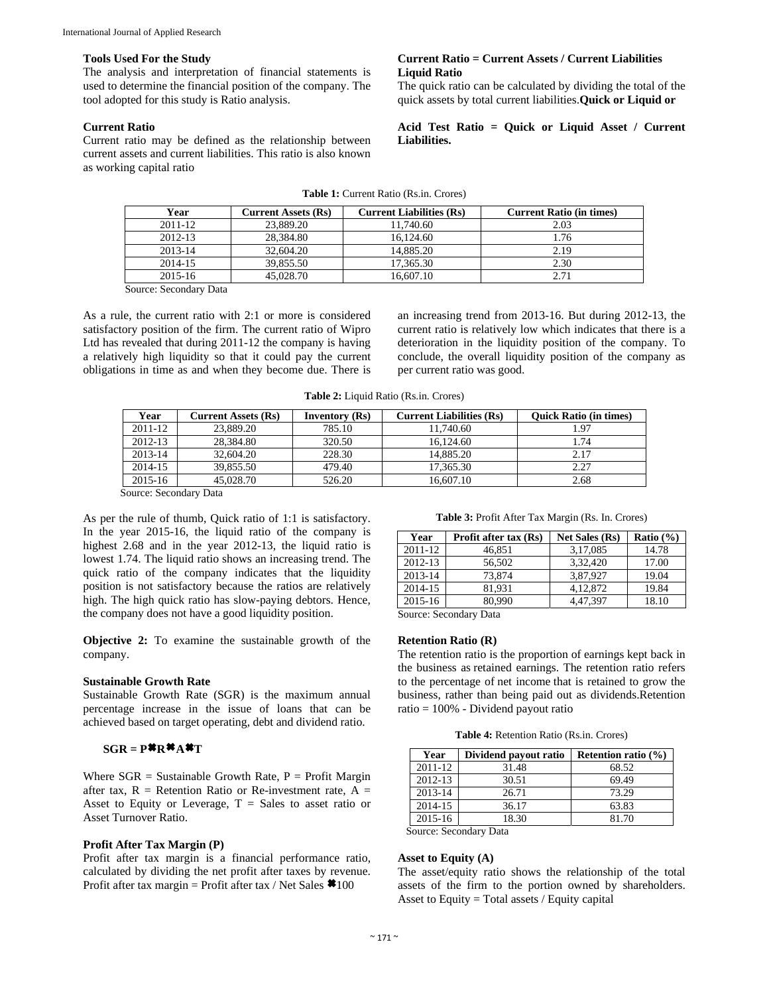#### **Tools Used For the Study**

The analysis and interpretation of financial statements is used to determine the financial position of the company. The tool adopted for this study is Ratio analysis.

# **Current Ratio**

Current ratio may be defined as the relationship between current assets and current liabilities. This ratio is also known as working capital ratio

# **Current Ratio = Current Assets / Current Liabilities Liquid Ratio**

The quick ratio can be calculated by dividing the total of the quick assets by total current liabilities.**Quick or Liquid or** 

# **Acid Test Ratio = Quick or Liquid Asset / Current Liabilities.**

| <b>Table 1:</b> Current Ratio (Rs.in. Crores) |  |  |
|-----------------------------------------------|--|--|
|-----------------------------------------------|--|--|

| Year        | <b>Current Assets (Rs)</b> | <b>Current Liabilities (Rs)</b> | <b>Current Ratio (in times)</b> |
|-------------|----------------------------|---------------------------------|---------------------------------|
| 2011-12     | 23,889.20                  | 11.740.60                       | 2.03                            |
| $2012 - 13$ | 28,384.80                  | 16.124.60                       | 1.76                            |
| $2013 - 14$ | 32,604.20                  | 14,885.20                       | 2.19                            |
| 2014-15     | 39.855.50                  | 17.365.30                       | 2.30                            |
| 2015-16     | 45.028.70                  | 16.607.10                       | 2.71                            |

Source: Secondary Data

As a rule, the current ratio with 2:1 or more is considered satisfactory position of the firm. The current ratio of Wipro Ltd has revealed that during 2011-12 the company is having a relatively high liquidity so that it could pay the current obligations in time as and when they become due. There is an increasing trend from 2013-16. But during 2012-13, the current ratio is relatively low which indicates that there is a deterioration in the liquidity position of the company. To conclude, the overall liquidity position of the company as per current ratio was good.

**Table 2:** Liquid Ratio (Rs.in. Crores)

| Year    | Current Assets (Rs) | Inventory $(Rs)$ | <b>Current Liabilities (Rs)</b> | <b>Ouick Ratio (in times)</b> |
|---------|---------------------|------------------|---------------------------------|-------------------------------|
| 2011-12 | 23,889.20           | 785.10           | 11.740.60                       | 1.97                          |
| 2012-13 | 28,384.80           | 320.50           | 16.124.60                       | 1.74                          |
| 2013-14 | 32,604.20           | 228.30           | 14,885.20                       | 2.17                          |
| 2014-15 | 39,855.50           | 479.40           | 17.365.30                       | 2.27                          |
| 2015-16 | 45,028.70           | 526.20           | 16,607.10                       | 2.68                          |

Source: Secondary Data

As per the rule of thumb, Quick ratio of 1:1 is satisfactory. In the year 2015-16, the liquid ratio of the company is highest 2.68 and in the year 2012-13, the liquid ratio is lowest 1.74. The liquid ratio shows an increasing trend. The quick ratio of the company indicates that the liquidity position is not satisfactory because the ratios are relatively high. The high quick ratio has slow-paying debtors. Hence, the company does not have a good liquidity position.

**Objective 2:** To examine the sustainable growth of the company.

# **Sustainable Growth Rate**

Sustainable Growth Rate (SGR) is the maximum annual percentage increase in the issue of loans that can be achieved based on target operating, debt and dividend ratio.

# $SGR = P^*R^*A^*T$

Where  $SGR =$  Sustainable Growth Rate,  $P =$  Profit Margin after tax,  $R =$  Retention Ratio or Re-investment rate,  $A =$ Asset to Equity or Leverage,  $T =$  Sales to asset ratio or Asset Turnover Ratio.

# **Profit After Tax Margin (P)**

Profit after tax margin is a financial performance ratio, calculated by dividing the net profit after taxes by revenue. Profit after tax margin = Profit after tax / Net Sales **\*** 100

**Table 3:** Profit After Tax Margin (Rs. In. Crores)

| Year        | Profit after tax (Rs) | Net Sales (Rs) | Ratio $(\% )$ |
|-------------|-----------------------|----------------|---------------|
| $2011 - 12$ | 46,851                | 3,17,085       | 14.78         |
| $2012 - 13$ | 56,502                | 3.32.420       | 17.00         |
| 2013-14     | 73,874                | 3,87,927       | 19.04         |
| 2014-15     | 81.931                | 4, 12, 872     | 19.84         |
| 2015-16     | 80.990                | 4.47.397       | 18.10         |

Source: Secondary Data

# **Retention Ratio (R)**

The retention ratio is the proportion of earnings kept back in the business as retained earnings. The retention ratio refers to the percentage of net income that is retained to grow the business, rather than being paid out as dividends.Retention ratio = 100% - Dividend payout ratio

**Table 4:** Retention Ratio (Rs.in. Crores)

| Year    | Dividend payout ratio    | Retention ratio $(\% )$ |
|---------|--------------------------|-------------------------|
| 2011-12 | 31.48                    | 68.52                   |
| 2012-13 | 30.51                    | 69.49                   |
| 2013-14 | 26.71                    | 73.29                   |
| 2014-15 | 36.17                    | 63.83                   |
| 2015-16 | 18.30                    | 81.70                   |
|         | 0. 0. 1. D. . <i>.</i> . |                         |

Source: Secondary Data

# **Asset to Equity (A)**

The asset/equity ratio shows the relationship of the total assets of the firm to the portion owned by shareholders. Asset to Equity = Total assets / Equity capital